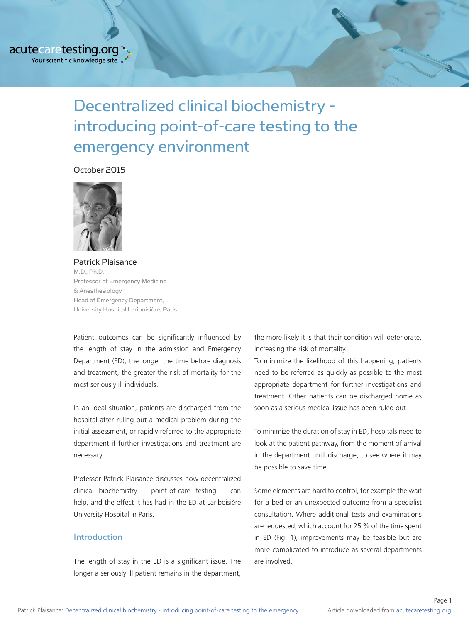# acutecaretesting.org \* Your scientific knowledge site .

# Decentralized clinical biochemistry introducing point-of-care testing to the emergency environment

October 2015



Patrick Plaisance M.D., Ph.D, Professor of Emergency Medicine & Anesthesiology Head of Emergency Department, University Hospital Lariboisière, Paris

Patient outcomes can be significantly influenced by the length of stay in the admission and Emergency Department (ED); the longer the time before diagnosis and treatment, the greater the risk of mortality for the most seriously ill individuals.

In an ideal situation, patients are discharged from the hospital after ruling out a medical problem during the initial assessment, or rapidly referred to the appropriate department if further investigations and treatment are necessary.

Professor Patrick Plaisance discusses how decentralized clinical biochemistry – point-of-care testing – can help, and the effect it has had in the ED at Lariboisière University Hospital in Paris.

#### Introduction

The length of stay in the ED is a significant issue. The longer a seriously ill patient remains in the department, the more likely it is that their condition will deteriorate, increasing the risk of mortality.

To minimize the likelihood of this happening, patients need to be referred as quickly as possible to the most appropriate department for further investigations and treatment. Other patients can be discharged home as soon as a serious medical issue has been ruled out.

To minimize the duration of stay in ED, hospitals need to look at the patient pathway, from the moment of arrival in the department until discharge, to see where it may be possible to save time.

Some elements are hard to control, for example the wait for a bed or an unexpected outcome from a specialist consultation. Where additional tests and examinations are requested, which account for 25 % of the time spent in ED (Fig. 1), improvements may be feasible but are more complicated to introduce as several departments are involved.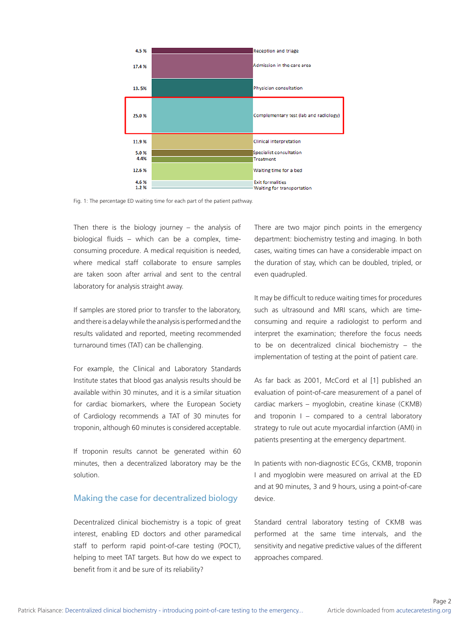

Fig. 1: The percentage ED waiting time for each part of the patient pathway.

Then there is the biology journey  $-$  the analysis of biological fluids – which can be a complex, timeconsuming procedure. A medical requisition is needed, where medical staff collaborate to ensure samples are taken soon after arrival and sent to the central laboratory for analysis straight away.

If samples are stored prior to transfer to the laboratory, and there is a delay while the analysis is performed and the results validated and reported, meeting recommended turnaround times (TAT) can be challenging.

For example, the Clinical and Laboratory Standards Institute states that blood gas analysis results should be available within 30 minutes, and it is a similar situation for cardiac biomarkers, where the European Society of Cardiology recommends a TAT of 30 minutes for troponin, although 60 minutes is considered acceptable.

If troponin results cannot be generated within 60 minutes, then a decentralized laboratory may be the solution.

#### Making the case for decentralized biology

Decentralized clinical biochemistry is a topic of great interest, enabling ED doctors and other paramedical staff to perform rapid point-of-care testing (POCT), helping to meet TAT targets. But how do we expect to benefit from it and be sure of its reliability?

There are two major pinch points in the emergency department: biochemistry testing and imaging. In both cases, waiting times can have a considerable impact on the duration of stay, which can be doubled, tripled, or even quadrupled.

It may be difficult to reduce waiting times for procedures such as ultrasound and MRI scans, which are timeconsuming and require a radiologist to perform and interpret the examination; therefore the focus needs to be on decentralized clinical biochemistry – the implementation of testing at the point of patient care.

As far back as 2001, McCord et al [1] published an evaluation of point-of-care measurement of a panel of cardiac markers – myoglobin, creatine kinase (CKMB) and troponin  $I$  – compared to a central laboratory strategy to rule out acute myocardial infarction (AMI) in patients presenting at the emergency department.

In patients with non-diagnostic ECGs, CKMB, troponin I and myoglobin were measured on arrival at the ED and at 90 minutes, 3 and 9 hours, using a point-of-care device.

Standard central laboratory testing of CKMB was performed at the same time intervals, and the sensitivity and negative predictive values of the different approaches compared.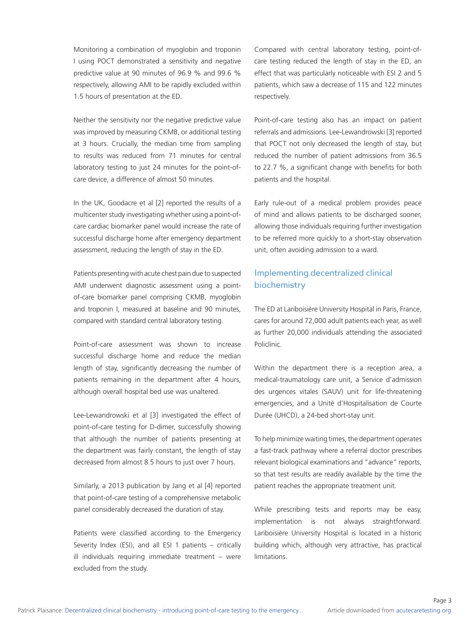Monitoring a combination of myoglobin and troponin I using POCT demonstrated a sensitivity and negative predictive value at 90 minutes of 96.9 % and 99.6 % respectively, allowing AMI to be rapidly excluded within 1.5 hours of presentation at the ED.

Neither the sensitivity nor the negative predictive value was improved by measuring CKMB, or additional testing at 3 hours. Crucially, the median time from sampling to results was reduced from 71 minutes for central laboratory testing to just 24 minutes for the point-ofcare device, a difference of almost 50 minutes.

In the UK, Goodacre et al [2] reported the results of a multicenter study investigating whether using a point-ofcare cardiac biomarker panel would increase the rate of successful discharge home after emergency department assessment, reducing the length of stay in the ED.

Patients presenting with acute chest pain due to suspected AMI underwent diagnostic assessment using a pointof-care biomarker panel comprising CKMB, myoglobin and troponin I, measured at baseline and 90 minutes, compared with standard central laboratory testing.

Point-of-care assessment was shown to increase successful discharge home and reduce the median length of stay, significantly decreasing the number of patients remaining in the department after 4 hours, although overall hospital bed use was unaltered.

Lee-Lewandrowski et al [3] investigated the effect of point-of-care testing for D-dimer, successfully showing that although the number of patients presenting at the department was fairly constant, the length of stay decreased from almost 8.5 hours to just over 7 hours.

Similarly, a 2013 publication by Jang et al [4] reported that point-of-care testing of a comprehensive metabolic panel considerably decreased the duration of stay.

Patients were classified according to the Emergency Severity Index (ESI), and all ESI 1 patients – critically ill individuals requiring immediate treatment – were excluded from the study.

Compared with central laboratory testing, point-ofcare testing reduced the length of stay in the ED, an effect that was particularly noticeable with ESI 2 and 5 patients, which saw a decrease of 115 and 122 minutes respectively.

Point-of-care testing also has an impact on patient referrals and admissions. Lee-Lewandrowski [3] reported that POCT not only decreased the length of stay, but reduced the number of patient admissions from 36.5 to 22.7 %, a significant change with benefits for both patients and the hospital.

Early rule-out of a medical problem provides peace of mind and allows patients to be discharged sooner, allowing those individuals requiring further investigation to be referred more quickly to a short-stay observation unit, often avoiding admission to a ward.

## Implementing decentralized clinical biochemistry

The ED at Lariboisière University Hospital in Paris, France, cares for around 72,000 adult patients each year, as well as further 20,000 individuals attending the associated Policlinic.

Within the department there is a reception area, a medical-traumatology care unit, a Service d'admission des urgences vitales (SAUV) unit for life-threatening emergencies, and a Unité d'Hospitalisation de Courte Durée (UHCD), a 24-bed short-stay unit.

To help minimize waiting times, the department operates a fast-track pathway where a referral doctor prescribes relevant biological examinations and "advance" reports, so that test results are readily available by the time the patient reaches the appropriate treatment unit.

While prescribing tests and reports may be easy, implementation is not always straightforward. Lariboisière University Hospital is located in a historic building which, although very attractive, has practical limitations.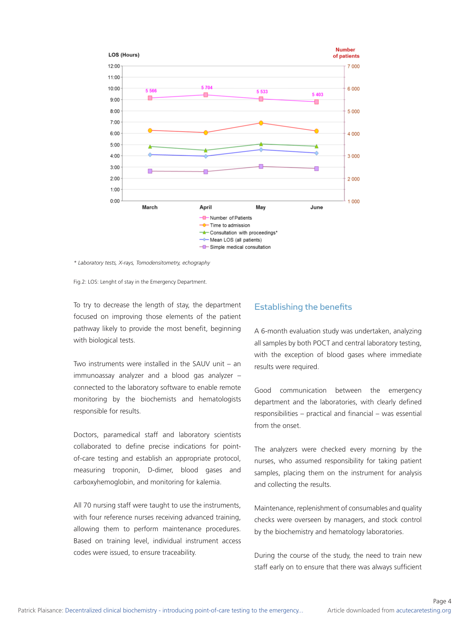

*\* Laboratory tests, X-rays, Tomodensitometry, echography*

To try to decrease the length of stay, the department focused on improving those elements of the patient pathway likely to provide the most benefit, beginning with biological tests.

Two instruments were installed in the SAUV unit – an immunoassay analyzer and a blood gas analyzer – connected to the laboratory software to enable remote monitoring by the biochemists and hematologists responsible for results.

Doctors, paramedical staff and laboratory scientists collaborated to define precise indications for pointof-care testing and establish an appropriate protocol, measuring troponin, D-dimer, blood gases and carboxyhemoglobin, and monitoring for kalemia.

All 70 nursing staff were taught to use the instruments, with four reference nurses receiving advanced training, allowing them to perform maintenance procedures. Based on training level, individual instrument access codes were issued, to ensure traceability.

#### Establishing the benefits

A 6-month evaluation study was undertaken, analyzing all samples by both POCT and central laboratory testing, with the exception of blood gases where immediate results were required.

Good communication between the emergency department and the laboratories, with clearly defined responsibilities – practical and financial – was essential from the onset.

The analyzers were checked every morning by the nurses, who assumed responsibility for taking patient samples, placing them on the instrument for analysis and collecting the results.

Maintenance, replenishment of consumables and quality checks were overseen by managers, and stock control by the biochemistry and hematology laboratories.

During the course of the study, the need to train new staff early on to ensure that there was always sufficient

Page 4

Fig.2: LOS: Lenght of stay in the Emergency Department.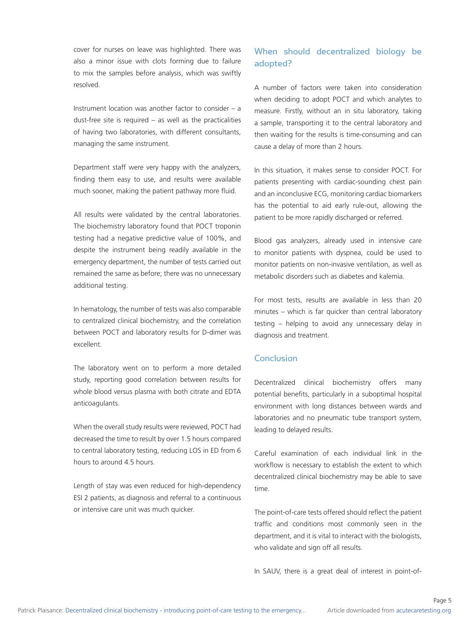cover for nurses on leave was highlighted. There was also a minor issue with clots forming due to failure to mix the samples before analysis, which was swiftly resolved.

Instrument location was another factor to consider – a dust-free site is required  $-$  as well as the practicalities of having two laboratories, with different consultants, managing the same instrument.

Department staff were very happy with the analyzers, finding them easy to use, and results were available much sooner, making the patient pathway more fluid.

All results were validated by the central laboratories. The biochemistry laboratory found that POCT troponin testing had a negative predictive value of 100%, and despite the instrument being readily available in the emergency department, the number of tests carried out remained the same as before; there was no unnecessary additional testing.

In hematology, the number of tests was also comparable to centralized clinical biochemistry, and the correlation between POCT and laboratory results for D-dimer was excellent.

The laboratory went on to perform a more detailed study, reporting good correlation between results for whole blood versus plasma with both citrate and EDTA anticoagulants.

When the overall study results were reviewed, POCT had decreased the time to result by over 1.5 hours compared to central laboratory testing, reducing LOS in ED from 6 hours to around 4.5 hours.

Length of stay was even reduced for high-dependency ESI 2 patients, as diagnosis and referral to a continuous or intensive care unit was much quicker.

# When should decentralized biology be adopted?

A number of factors were taken into consideration when deciding to adopt POCT and which analytes to measure. Firstly, without an in situ laboratory, taking a sample, transporting it to the central laboratory and then waiting for the results is time-consuming and can cause a delay of more than 2 hours.

In this situation, it makes sense to consider POCT. For patients presenting with cardiac-sounding chest pain and an inconclusive ECG, monitoring cardiac biomarkers has the potential to aid early rule-out, allowing the patient to be more rapidly discharged or referred.

Blood gas analyzers, already used in intensive care to monitor patients with dyspnea, could be used to monitor patients on non-invasive ventilation, as well as metabolic disorders such as diabetes and kalemia.

For most tests, results are available in less than 20 minutes – which is far quicker than central laboratory testing – helping to avoid any unnecessary delay in diagnosis and treatment.

#### Conclusion

Decentralized clinical biochemistry offers many potential benefits, particularly in a suboptimal hospital environment with long distances between wards and laboratories and no pneumatic tube transport system, leading to delayed results.

Careful examination of each individual link in the workflow is necessary to establish the extent to which decentralized clinical biochemistry may be able to save time.

The point-of-care tests offered should reflect the patient traffic and conditions most commonly seen in the department, and it is vital to interact with the biologists, who validate and sign off all results.

In SAUV, there is a great deal of interest in point-of-